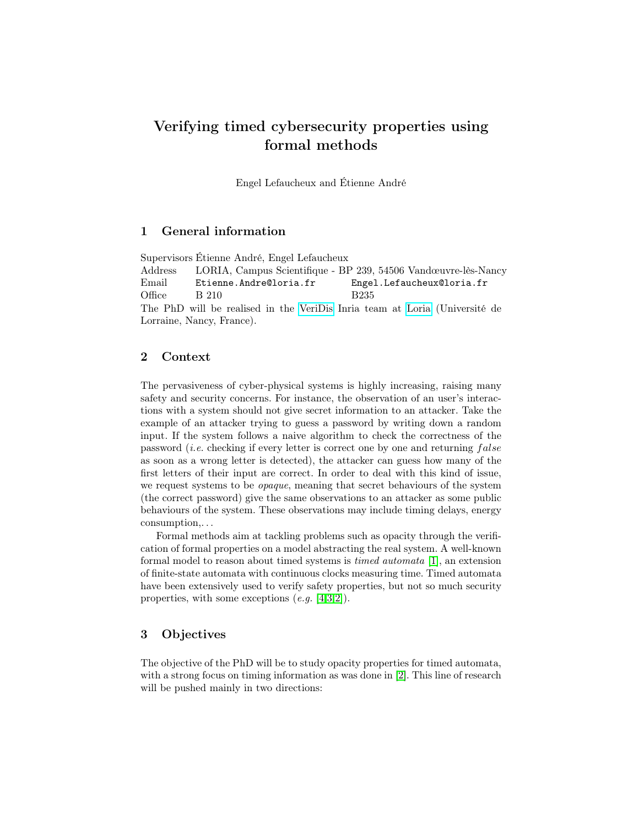# Verifying timed cybersecurity properties using formal methods

Engel Lefaucheux and Étienne André

## 1 General information

Supervisors Étienne André, Engel Lefaucheux Address LORIA, Campus Scientifique - BP 239, 54506 Vandœuvre-lès-Nancy Email Etienne.Andre@loria.fr Engel.Lefaucheux@loria.fr Office B  $210$  B235 The PhD will be realised in the [VeriDis](https://team.inria.fr/veridis/) Inria team at [Loria](https://www.loria.fr/en/) (Université de Lorraine, Nancy, France).

### 2 Context

The pervasiveness of cyber-physical systems is highly increasing, raising many safety and security concerns. For instance, the observation of an user's interactions with a system should not give secret information to an attacker. Take the example of an attacker trying to guess a password by writing down a random input. If the system follows a naive algorithm to check the correctness of the password (*i.e.* checking if every letter is correct one by one and returning  $false$ as soon as a wrong letter is detected), the attacker can guess how many of the first letters of their input are correct. In order to deal with this kind of issue, we request systems to be opaque, meaning that secret behaviours of the system (the correct password) give the same observations to an attacker as some public behaviours of the system. These observations may include timing delays, energy consumption,. . .

Formal methods aim at tackling problems such as opacity through the verification of formal properties on a model abstracting the real system. A well-known formal model to reason about timed systems is timed automata [\[1\]](#page-1-0), an extension of finite-state automata with continuous clocks measuring time. Timed automata have been extensively used to verify safety properties, but not so much security properties, with some exceptions  $(e.g. [4,3,2])$  $(e.g. [4,3,2])$  $(e.g. [4,3,2])$  $(e.g. [4,3,2])$  $(e.g. [4,3,2])$ .

#### 3 Objectives

The objective of the PhD will be to study opacity properties for timed automata, with a strong focus on timing information as was done in [\[2\]](#page-1-3). This line of research will be pushed mainly in two directions: